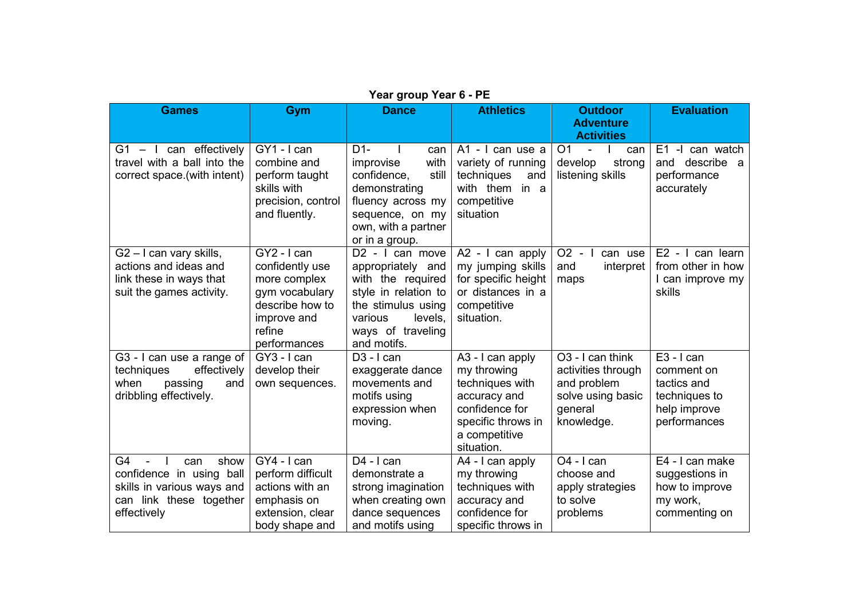| <b>Games</b>                                                                                                          | Gym                                                                                                                          | <b>Dance</b>                                                                                                                                                                  | <b>Athletics</b>                                                                                                                          | <b>Outdoor</b><br><b>Adventure</b>                                                                              | <b>Evaluation</b>                                                                          |
|-----------------------------------------------------------------------------------------------------------------------|------------------------------------------------------------------------------------------------------------------------------|-------------------------------------------------------------------------------------------------------------------------------------------------------------------------------|-------------------------------------------------------------------------------------------------------------------------------------------|-----------------------------------------------------------------------------------------------------------------|--------------------------------------------------------------------------------------------|
| $G1 - I$ can effectively<br>travel with a ball into the<br>correct space.(with intent)                                | GY1 - I can<br>combine and<br>perform taught<br>skills with<br>precision, control<br>and fluently.                           | $D1-$<br>can<br>improvise<br>with<br>confidence,<br>still<br>demonstrating<br>fluency across my<br>sequence, on my<br>own, with a partner<br>or in a group.                   | A1 - I can use a<br>variety of running<br>techniques<br>and<br>with them in a<br>competitive<br>situation                                 | <b>Activities</b><br>O <sub>1</sub><br>can<br>$\blacksquare$<br>develop<br>strong<br>listening skills           | -I can watch<br>E1<br>and describe a<br>performance<br>accurately                          |
| $G2 - I$ can vary skills,<br>actions and ideas and<br>link these in ways that<br>suit the games activity.             | GY2 - I can<br>confidently use<br>more complex<br>gym vocabulary<br>describe how to<br>improve and<br>refine<br>performances | D <sub>2</sub> - I can move<br>appropriately and<br>with the required<br>style in relation to<br>the stimulus using<br>various<br>levels,<br>ways of traveling<br>and motifs. | A2 - I can apply<br>my jumping skills<br>for specific height<br>or distances in a<br>competitive<br>situation.                            | $O2 - I$<br>can use<br>interpret<br>and<br>maps                                                                 | E2 - I can learn<br>from other in how<br>I can improve my<br>skills                        |
| G3 - I can use a range of<br>effectively<br>techniques<br>when<br>passing<br>and<br>dribbling effectively.            | GY3 - I can<br>develop their<br>own sequences.                                                                               | $D3 - I can$<br>exaggerate dance<br>movements and<br>motifs using<br>expression when<br>moving.                                                                               | A3 - I can apply<br>my throwing<br>techniques with<br>accuracy and<br>confidence for<br>specific throws in<br>a competitive<br>situation. | O <sub>3</sub> - I can think<br>activities through<br>and problem<br>solve using basic<br>general<br>knowledge. | $E3 - I can$<br>comment on<br>tactics and<br>techniques to<br>help improve<br>performances |
| G4<br>show<br>can<br>confidence in using ball<br>skills in various ways and<br>can link these together<br>effectively | GY4 - I can<br>perform difficult<br>actions with an<br>emphasis on<br>extension, clear<br>body shape and                     | $D4 - I can$<br>demonstrate a<br>strong imagination<br>when creating own<br>dance sequences<br>and motifs using                                                               | A4 - I can apply<br>my throwing<br>techniques with<br>accuracy and<br>confidence for<br>specific throws in                                | O <sub>4</sub> - I can<br>choose and<br>apply strategies<br>to solve<br>problems                                | E4 - I can make<br>suggestions in<br>how to improve<br>my work,<br>commenting on           |

## **Year group Year 6 - PE**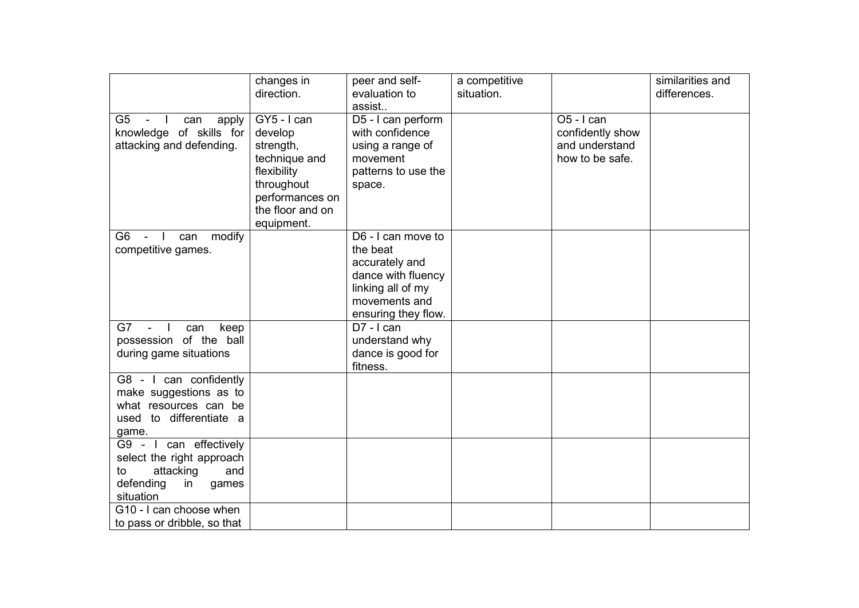|                                               | changes in       | peer and self-      | a competitive |                  | similarities and |
|-----------------------------------------------|------------------|---------------------|---------------|------------------|------------------|
|                                               | direction.       | evaluation to       | situation.    |                  | differences.     |
|                                               |                  | assist              |               |                  |                  |
| G <sub>5</sub><br>$\sim$ $-$<br>can<br>apply  | $GY5 - I can$    | D5 - I can perform  |               | O5 - I can       |                  |
| knowledge of skills for                       | develop          | with confidence     |               | confidently show |                  |
| attacking and defending.                      | strength,        | using a range of    |               | and understand   |                  |
|                                               | technique and    | movement            |               | how to be safe.  |                  |
|                                               | flexibility      | patterns to use the |               |                  |                  |
|                                               | throughout       | space.              |               |                  |                  |
|                                               | performances on  |                     |               |                  |                  |
|                                               | the floor and on |                     |               |                  |                  |
| G <sub>6</sub><br>modify                      | equipment.       | D6 - I can move to  |               |                  |                  |
| can<br>$\Box$<br>$\sim$<br>competitive games. |                  | the beat            |               |                  |                  |
|                                               |                  | accurately and      |               |                  |                  |
|                                               |                  | dance with fluency  |               |                  |                  |
|                                               |                  | linking all of my   |               |                  |                  |
|                                               |                  | movements and       |               |                  |                  |
|                                               |                  | ensuring they flow. |               |                  |                  |
| G7<br>keep<br>$\sim$<br>can                   |                  | $D7 - I can$        |               |                  |                  |
| possession of the ball                        |                  | understand why      |               |                  |                  |
| during game situations                        |                  | dance is good for   |               |                  |                  |
|                                               |                  | fitness.            |               |                  |                  |
| G8 - I can confidently                        |                  |                     |               |                  |                  |
| make suggestions as to                        |                  |                     |               |                  |                  |
| what resources can be                         |                  |                     |               |                  |                  |
| used to differentiate a                       |                  |                     |               |                  |                  |
| game.                                         |                  |                     |               |                  |                  |
| G9 - I can effectively                        |                  |                     |               |                  |                  |
| select the right approach                     |                  |                     |               |                  |                  |
| attacking<br>and<br>to                        |                  |                     |               |                  |                  |
| defending<br>in<br>games                      |                  |                     |               |                  |                  |
| situation<br>G10 - I can choose when          |                  |                     |               |                  |                  |
| to pass or dribble, so that                   |                  |                     |               |                  |                  |
|                                               |                  |                     |               |                  |                  |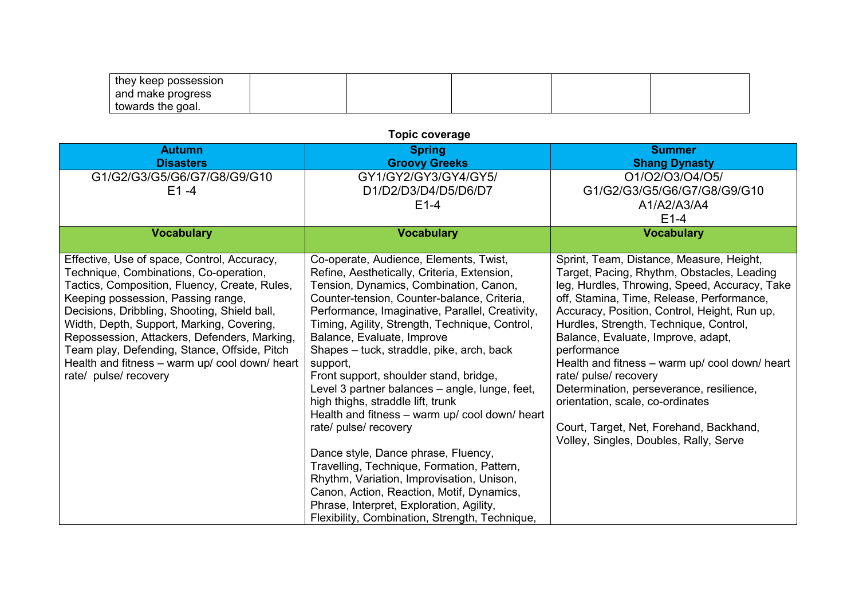| they keep possession |  |  |  |
|----------------------|--|--|--|
| I and make progress  |  |  |  |
| towards the goal.    |  |  |  |

## **Autumn Disasters Spring Groovy Greeks Summer Shang Dynasty** G1/G2/G3/G5/G6/G7/G8/G9/G10  $F1 -4$ GY1/GY2/GY3/GY4/GY5/ D1/D2/D3/D4/D5/D6/D7  $F1-4$ O1/O2/O3/O4/O5/ G1/G2/G3/G5/G6/G7/G8/G9/G10 A1/A2/A3/A4 E1-4 **Vocabulary Vocabulary Vocabulary** Effective, Use of space, Control, Accuracy, Technique, Combinations, Co-operation, Tactics, Composition, Fluency, Create, Rules, Keeping possession, Passing range, Decisions, Dribbling, Shooting, Shield ball, Width, Depth, Support, Marking, Covering, Repossession, Attackers, Defenders, Marking, Team play, Defending, Stance, Offside, Pitch Health and fitness – warm up/ cool down/ heart rate/ pulse/ recovery Co-operate, Audience, Elements, Twist, Refine, Aesthetically, Criteria, Extension, Tension, Dynamics, Combination, Canon, Counter-tension, Counter-balance, Criteria, Performance, Imaginative, Parallel, Creativity, Timing, Agility, Strength, Technique, Control, Balance, Evaluate, Improve Shapes – tuck, straddle, pike, arch, back support, Front support, shoulder stand, bridge, Level 3 partner balances – angle, lunge, feet, high thighs, straddle lift, trunk Health and fitness – warm up/ cool down/ heart rate/ pulse/ recovery Dance style, Dance phrase, Fluency, Travelling, Technique, Formation, Pattern, Rhythm, Variation, Improvisation, Unison, Canon, Action, Reaction, Motif, Dynamics, Phrase, Interpret, Exploration, Agility, Flexibility, Combination, Strength, Technique, Sprint, Team, Distance, Measure, Height, Target, Pacing, Rhythm, Obstacles, Leading leg, Hurdles, Throwing, Speed, Accuracy, Take off, Stamina, Time, Release, Performance, Accuracy, Position, Control, Height, Run up, Hurdles, Strength, Technique, Control, Balance, Evaluate, Improve, adapt, performance Health and fitness – warm up/ cool down/ heart rate/ pulse/ recovery Determination, perseverance, resilience, orientation, scale, co-ordinates Court, Target, Net, Forehand, Backhand, Volley, Singles, Doubles, Rally, Serve

## **Topic coverage**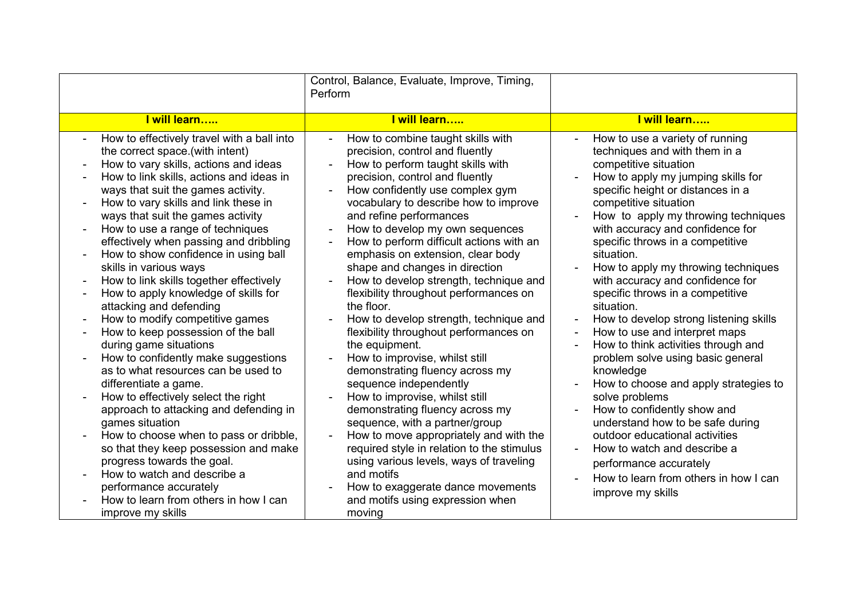|                                                                                                                                                                                                                                                                                                                                                                                                                                                                                                                                                                                                                                                                                                                                                                                                                                                                                                                                                                                                                                                                                                                                                                                                                    | Control, Balance, Evaluate, Improve, Timing,<br>Perform                                                                                                                                                                                                                                                                                                                                                                                                                                                                                                                                                                                                                                                                                                                                                                                                                                                                                                                                                                                                                                           |                                                                                                                                                                                                                                                                                                                                                                                                                                                                                                                                                                                                                                                                                                                                                                                                                                                                                                                                      |
|--------------------------------------------------------------------------------------------------------------------------------------------------------------------------------------------------------------------------------------------------------------------------------------------------------------------------------------------------------------------------------------------------------------------------------------------------------------------------------------------------------------------------------------------------------------------------------------------------------------------------------------------------------------------------------------------------------------------------------------------------------------------------------------------------------------------------------------------------------------------------------------------------------------------------------------------------------------------------------------------------------------------------------------------------------------------------------------------------------------------------------------------------------------------------------------------------------------------|---------------------------------------------------------------------------------------------------------------------------------------------------------------------------------------------------------------------------------------------------------------------------------------------------------------------------------------------------------------------------------------------------------------------------------------------------------------------------------------------------------------------------------------------------------------------------------------------------------------------------------------------------------------------------------------------------------------------------------------------------------------------------------------------------------------------------------------------------------------------------------------------------------------------------------------------------------------------------------------------------------------------------------------------------------------------------------------------------|--------------------------------------------------------------------------------------------------------------------------------------------------------------------------------------------------------------------------------------------------------------------------------------------------------------------------------------------------------------------------------------------------------------------------------------------------------------------------------------------------------------------------------------------------------------------------------------------------------------------------------------------------------------------------------------------------------------------------------------------------------------------------------------------------------------------------------------------------------------------------------------------------------------------------------------|
| I will learn                                                                                                                                                                                                                                                                                                                                                                                                                                                                                                                                                                                                                                                                                                                                                                                                                                                                                                                                                                                                                                                                                                                                                                                                       | I will learn                                                                                                                                                                                                                                                                                                                                                                                                                                                                                                                                                                                                                                                                                                                                                                                                                                                                                                                                                                                                                                                                                      | I will learn                                                                                                                                                                                                                                                                                                                                                                                                                                                                                                                                                                                                                                                                                                                                                                                                                                                                                                                         |
| How to effectively travel with a ball into<br>the correct space.(with intent)<br>How to vary skills, actions and ideas<br>$\blacksquare$<br>How to link skills, actions and ideas in<br>ways that suit the games activity.<br>How to vary skills and link these in<br>ways that suit the games activity<br>How to use a range of techniques<br>$\blacksquare$<br>effectively when passing and dribbling<br>How to show confidence in using ball<br>$\overline{a}$<br>skills in various ways<br>How to link skills together effectively<br>$\blacksquare$<br>How to apply knowledge of skills for<br>$\overline{a}$<br>attacking and defending<br>How to modify competitive games<br>$\overline{a}$<br>How to keep possession of the ball<br>during game situations<br>How to confidently make suggestions<br>as to what resources can be used to<br>differentiate a game.<br>How to effectively select the right<br>$\blacksquare$<br>approach to attacking and defending in<br>games situation<br>How to choose when to pass or dribble,<br>so that they keep possession and make<br>progress towards the goal.<br>How to watch and describe a<br>performance accurately<br>How to learn from others in how I can | How to combine taught skills with<br>$\blacksquare$<br>precision, control and fluently<br>How to perform taught skills with<br>÷,<br>precision, control and fluently<br>How confidently use complex gym<br>vocabulary to describe how to improve<br>and refine performances<br>How to develop my own sequences<br>$\blacksquare$<br>How to perform difficult actions with an<br>÷,<br>emphasis on extension, clear body<br>shape and changes in direction<br>How to develop strength, technique and<br>flexibility throughout performances on<br>the floor.<br>How to develop strength, technique and<br>flexibility throughout performances on<br>the equipment.<br>How to improvise, whilst still<br>demonstrating fluency across my<br>sequence independently<br>How to improvise, whilst still<br>demonstrating fluency across my<br>sequence, with a partner/group<br>How to move appropriately and with the<br>required style in relation to the stimulus<br>using various levels, ways of traveling<br>and motifs<br>How to exaggerate dance movements<br>and motifs using expression when | How to use a variety of running<br>techniques and with them in a<br>competitive situation<br>How to apply my jumping skills for<br>specific height or distances in a<br>competitive situation<br>How to apply my throwing techniques<br>with accuracy and confidence for<br>specific throws in a competitive<br>situation.<br>How to apply my throwing techniques<br>with accuracy and confidence for<br>specific throws in a competitive<br>situation.<br>How to develop strong listening skills<br>$\blacksquare$<br>How to use and interpret maps<br>How to think activities through and<br>problem solve using basic general<br>knowledge<br>How to choose and apply strategies to<br>solve problems<br>How to confidently show and<br>understand how to be safe during<br>outdoor educational activities<br>How to watch and describe a<br>performance accurately<br>How to learn from others in how I can<br>improve my skills |
| improve my skills                                                                                                                                                                                                                                                                                                                                                                                                                                                                                                                                                                                                                                                                                                                                                                                                                                                                                                                                                                                                                                                                                                                                                                                                  | moving                                                                                                                                                                                                                                                                                                                                                                                                                                                                                                                                                                                                                                                                                                                                                                                                                                                                                                                                                                                                                                                                                            |                                                                                                                                                                                                                                                                                                                                                                                                                                                                                                                                                                                                                                                                                                                                                                                                                                                                                                                                      |